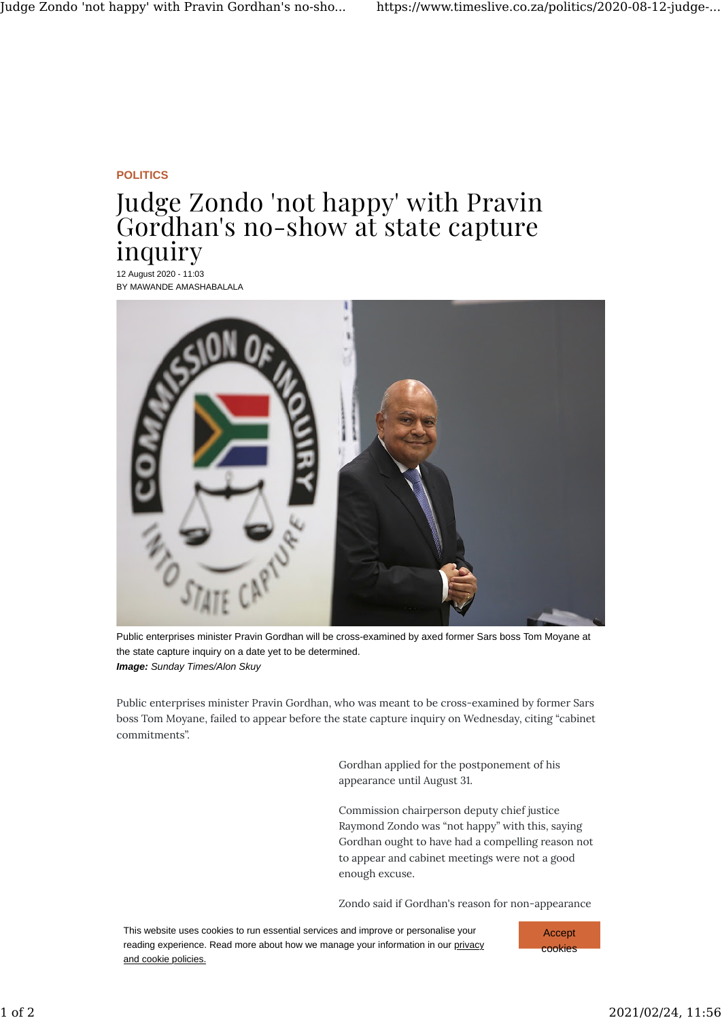## **POLITICS**

## Judge Zondo 'not happy' with Pravin Gordhan's no-show at state capture inquiry

12 August 2020 - 11:03 BY MAWANDE AMASHABALALA



Public enterprises minister Pravin Gordhan will be cross-examined by axed former Sars boss Tom Moyane at the state capture inquiry on a date yet to be determined. *Image: Sunday Times/Alon Skuy*

Public enterprises minister Pravin Gordhan, who was meant to be cross-examined by former Sars boss Tom Moyane, failed to appear before the state capture inquiry on Wednesday, citing "cabinet commitments".

> Gordhan applied for the postponement of his appearance until August 31.

Commission chairperson deputy chief justice Raymond Zondo was "not happy" with this, saying Gordhan ought to have had a compelling reason not to appear and cabinet meetings were not a good enough excuse.

Zondo said if Gordhan's reason for non-appearance

was cabinet duties, it might well be that everyone in the that everyone in the that everyone in the that every This website uses cookies to run essential services and improve or personalise your reading experience. Read more about how we manage your information in our privacy and cookie policies.